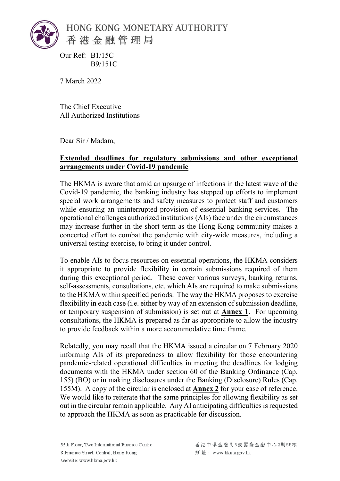

Our Ref: B1/15C B9/151C

7 March 2022

The Chief Executive All Authorized Institutions

Dear Sir / Madam,

## **Extended deadlines for regulatory submissions and other exceptional arrangements under Covid-19 pandemic**

The HKMA is aware that amid an upsurge of infections in the latest wave of the Covid-19 pandemic, the banking industry has stepped up efforts to implement special work arrangements and safety measures to protect staff and customers while ensuring an uninterrupted provision of essential banking services. The operational challenges authorized institutions (AIs) face under the circumstances may increase further in the short term as the Hong Kong community makes a concerted effort to combat the pandemic with city-wide measures, including a universal testing exercise, to bring it under control.

To enable AIs to focus resources on essential operations, the HKMA considers it appropriate to provide flexibility in certain submissions required of them during this exceptional period. These cover various surveys, banking returns, self-assessments, consultations, etc. which AIs are required to make submissions to the HKMA within specified periods. The way the HKMA proposes to exercise flexibility in each case (i.e. either by way of an extension of submission deadline, or temporary suspension of submission) is set out at **Annex 1**. For upcoming consultations, the HKMA is prepared as far as appropriate to allow the industry to provide feedback within a more accommodative time frame.

Relatedly, you may recall that the HKMA issued a circular on 7 February 2020 informing AIs of its preparedness to allow flexibility for those encountering pandemic-related operational difficulties in meeting the deadlines for lodging documents with the HKMA under section 60 of the Banking Ordinance (Cap. 155) (BO) or in making disclosures under the Banking (Disclosure) Rules (Cap. 155M). A copy of the circular is enclosed at **Annex 2** for your ease of reference. We would like to reiterate that the same principles for allowing flexibility as set out in the circular remain applicable. Any AI anticipating difficulties is requested to approach the HKMA as soon as practicable for discussion.